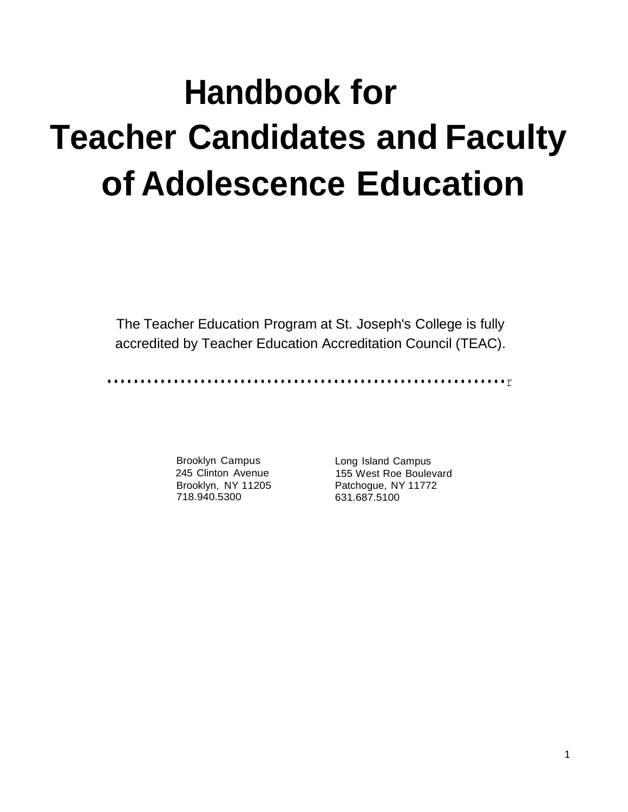# **Handbook for Teacher Candidates and Faculty of Adolescence Education**

The Teacher Education Program at St. Joseph's College is fully accredited by Teacher Education Accreditation Council (TEAC).

••••••••••••••••••••••••••••••••••••••••••••••••••••••••••••r

Brooklyn Campus 245 Clinton Avenue Brooklyn, NY 11205 718.940.5300

Long Island Campus 155 West Roe Boulevard Patchogue, NY 11772 631.687.5100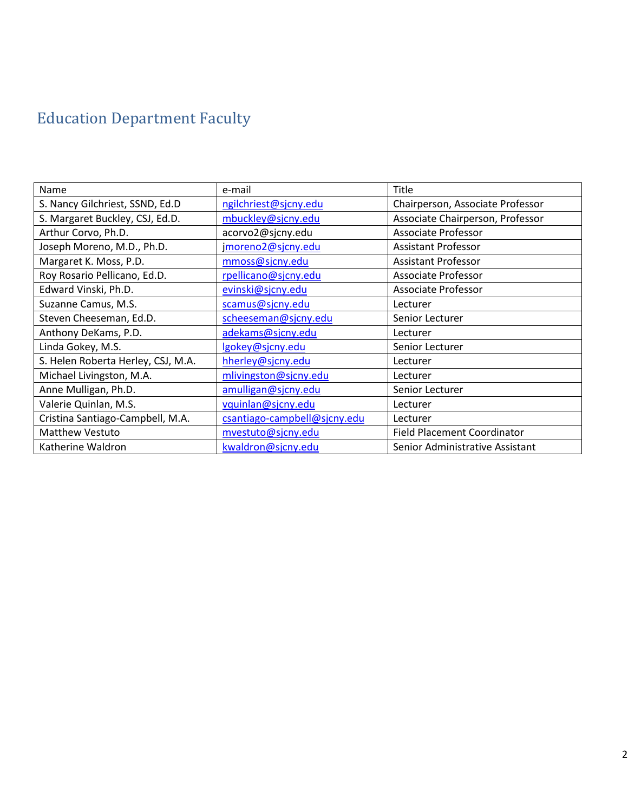# Education Department Faculty

| Name                               | e-mail                       | Title                              |
|------------------------------------|------------------------------|------------------------------------|
| S. Nancy Gilchriest, SSND, Ed.D    | ngilchriest@sjcny.edu        | Chairperson, Associate Professor   |
| S. Margaret Buckley, CSJ, Ed.D.    | mbuckley@sjcny.edu           | Associate Chairperson, Professor   |
| Arthur Corvo, Ph.D.                | acorvo2@sjcny.edu            | <b>Associate Professor</b>         |
| Joseph Moreno, M.D., Ph.D.         | jmoreno2@sjcny.edu           | <b>Assistant Professor</b>         |
| Margaret K. Moss, P.D.             | mmoss@sjcny.edu              | <b>Assistant Professor</b>         |
| Roy Rosario Pellicano, Ed.D.       | rpellicano@sjcny.edu         | Associate Professor                |
| Edward Vinski, Ph.D.               | evinski@sjcny.edu            | Associate Professor                |
| Suzanne Camus, M.S.                | scamus@sjcny.edu             | Lecturer                           |
| Steven Cheeseman, Ed.D.            | scheeseman@sjcny.edu         | Senior Lecturer                    |
| Anthony DeKams, P.D.               | adekams@sjcny.edu            | Lecturer                           |
| Linda Gokey, M.S.                  | lgokey@sjcny.edu             | Senior Lecturer                    |
| S. Helen Roberta Herley, CSJ, M.A. | hherley@sjcny.edu            | Lecturer                           |
| Michael Livingston, M.A.           | mlivingston@sjcny.edu        | Lecturer                           |
| Anne Mulligan, Ph.D.               | amulligan@sjcny.edu          | Senior Lecturer                    |
| Valerie Quinlan, M.S.              | vquinlan@sjcny.edu           | Lecturer                           |
| Cristina Santiago-Campbell, M.A.   | csantiago-campbell@sjcny.edu | Lecturer                           |
| <b>Matthew Vestuto</b>             | mvestuto@sjcny.edu           | <b>Field Placement Coordinator</b> |
| Katherine Waldron                  | kwaldron@sjcny.edu           | Senior Administrative Assistant    |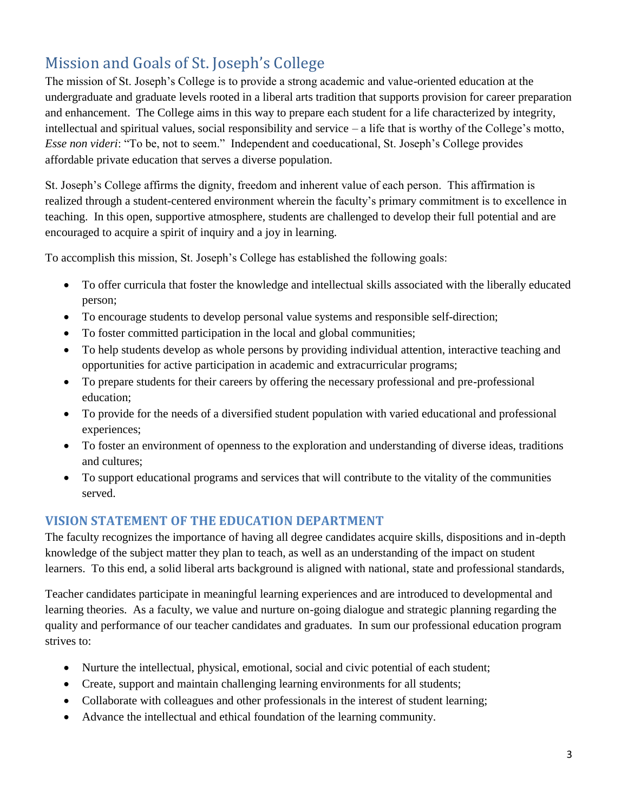# Mission and Goals of St. Joseph's College

The mission of St. Joseph's College is to provide a strong academic and value-oriented education at the undergraduate and graduate levels rooted in a liberal arts tradition that supports provision for career preparation and enhancement. The College aims in this way to prepare each student for a life characterized by integrity, intellectual and spiritual values, social responsibility and service – a life that is worthy of the College's motto, *Esse non videri*: "To be, not to seem." Independent and coeducational, St. Joseph's College provides affordable private education that serves a diverse population.

St. Joseph's College affirms the dignity, freedom and inherent value of each person. This affirmation is realized through a student-centered environment wherein the faculty's primary commitment is to excellence in teaching. In this open, supportive atmosphere, students are challenged to develop their full potential and are encouraged to acquire a spirit of inquiry and a joy in learning.

To accomplish this mission, St. Joseph's College has established the following goals:

- To offer curricula that foster the knowledge and intellectual skills associated with the liberally educated person;
- To encourage students to develop personal value systems and responsible self-direction;
- To foster committed participation in the local and global communities;
- To help students develop as whole persons by providing individual attention, interactive teaching and opportunities for active participation in academic and extracurricular programs;
- To prepare students for their careers by offering the necessary professional and pre-professional education;
- To provide for the needs of a diversified student population with varied educational and professional experiences;
- To foster an environment of openness to the exploration and understanding of diverse ideas, traditions and cultures;
- To support educational programs and services that will contribute to the vitality of the communities served.

# **VISION STATEMENT OF THE EDUCATION DEPARTMENT**

The faculty recognizes the importance of having all degree candidates acquire skills, dispositions and in-depth knowledge of the subject matter they plan to teach, as well as an understanding of the impact on student learners. To this end, a solid liberal arts background is aligned with national, state and professional standards,

Teacher candidates participate in meaningful learning experiences and are introduced to developmental and learning theories. As a faculty, we value and nurture on-going dialogue and strategic planning regarding the quality and performance of our teacher candidates and graduates. In sum our professional education program strives to:

- Nurture the intellectual, physical, emotional, social and civic potential of each student;
- Create, support and maintain challenging learning environments for all students;
- Collaborate with colleagues and other professionals in the interest of student learning;
- Advance the intellectual and ethical foundation of the learning community.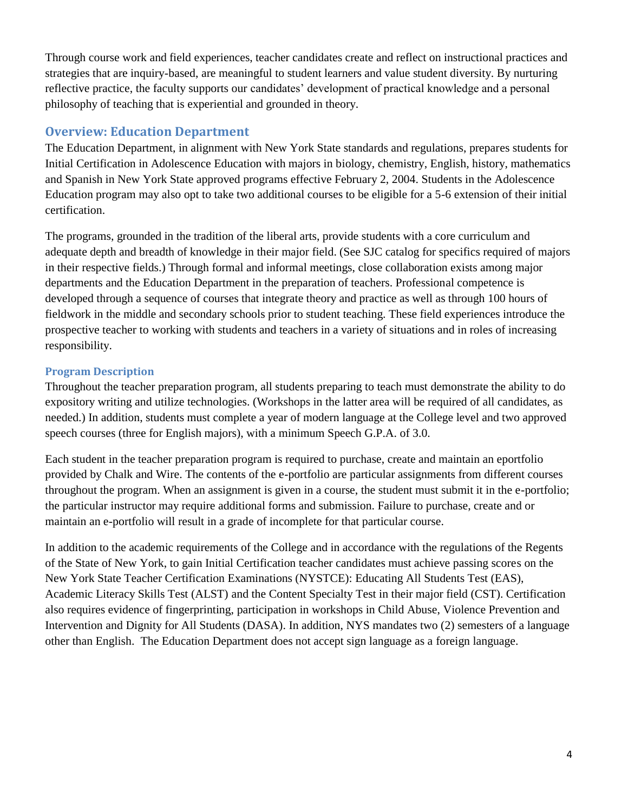Through course work and field experiences, teacher candidates create and reflect on instructional practices and strategies that are inquiry-based, are meaningful to student learners and value student diversity. By nurturing reflective practice, the faculty supports our candidates' development of practical knowledge and a personal philosophy of teaching that is experiential and grounded in theory.

## **Overview: Education Department**

The Education Department, in alignment with New York State standards and regulations, prepares students for Initial Certification in Adolescence Education with majors in biology, chemistry, English, history, mathematics and Spanish in New York State approved programs effective February 2, 2004. Students in the Adolescence Education program may also opt to take two additional courses to be eligible for a 5-6 extension of their initial certification.

The programs, grounded in the tradition of the liberal arts, provide students with a core curriculum and adequate depth and breadth of knowledge in their major field. (See SJC catalog for specifics required of majors in their respective fields.) Through formal and informal meetings, close collaboration exists among major departments and the Education Department in the preparation of teachers. Professional competence is developed through a sequence of courses that integrate theory and practice as well as through 100 hours of fieldwork in the middle and secondary schools prior to student teaching. These field experiences introduce the prospective teacher to working with students and teachers in a variety of situations and in roles of increasing responsibility.

## **Program Description**

Throughout the teacher preparation program, all students preparing to teach must demonstrate the ability to do expository writing and utilize technologies. (Workshops in the latter area will be required of all candidates, as needed.) In addition, students must complete a year of modern language at the College level and two approved speech courses (three for English majors), with a minimum Speech G.P.A. of 3.0.

Each student in the teacher preparation program is required to purchase, create and maintain an eportfolio provided by Chalk and Wire. The contents of the e-portfolio are particular assignments from different courses throughout the program. When an assignment is given in a course, the student must submit it in the e-portfolio; the particular instructor may require additional forms and submission. Failure to purchase, create and or maintain an e-portfolio will result in a grade of incomplete for that particular course.

In addition to the academic requirements of the College and in accordance with the regulations of the Regents of the State of New York, to gain Initial Certification teacher candidates must achieve passing scores on the New York State Teacher Certification Examinations (NYSTCE): Educating All Students Test (EAS), Academic Literacy Skills Test (ALST) and the Content Specialty Test in their major field (CST). Certification also requires evidence of fingerprinting, participation in workshops in Child Abuse, Violence Prevention and Intervention and Dignity for All Students (DASA). In addition, NYS mandates two (2) semesters of a language other than English. The Education Department does not accept sign language as a foreign language.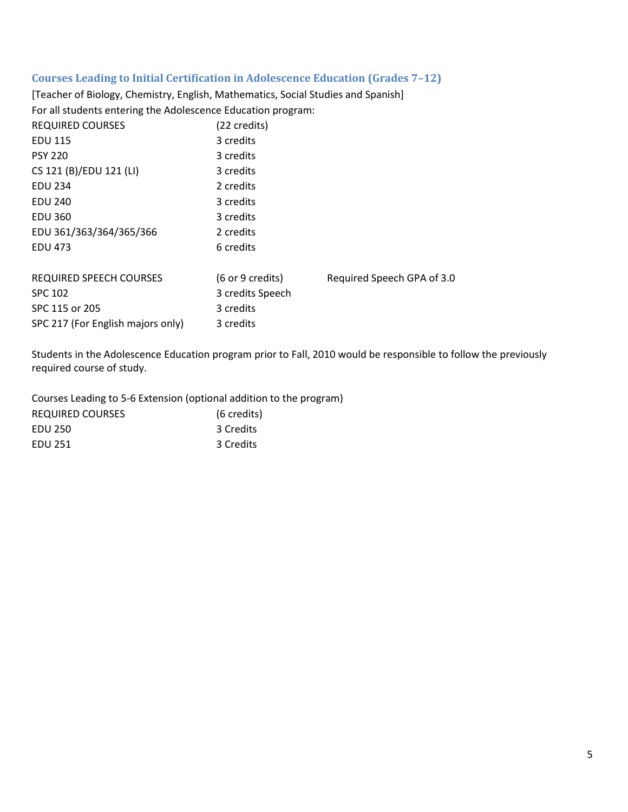#### **Courses Leading to Initial Certification in Adolescence Education (Grades 7–12)**

[Teacher of Biology, Chemistry, English, Mathematics, Social Studies and Spanish] For all students entering the Adolescence Education program:

| <b>REQUIRED COURSES</b>           | (22 credits)                        |                            |
|-----------------------------------|-------------------------------------|----------------------------|
| <b>EDU 115</b>                    | 3 credits                           |                            |
| <b>PSY 220</b>                    | 3 credits                           |                            |
| CS 121 (B)/EDU 121 (LI)           | 3 credits                           |                            |
| <b>EDU 234</b>                    | 2 credits                           |                            |
| <b>EDU 240</b>                    | 3 credits                           |                            |
| <b>EDU 360</b>                    | 3 credits                           |                            |
| EDU 361/363/364/365/366           | 2 credits                           |                            |
| <b>EDU 473</b>                    | 6 credits                           |                            |
|                                   |                                     |                            |
| <b>REQUIRED SPEECH COURSES</b>    | $(6 \text{ or } 9 \text{ credits})$ | Required Speech GPA of 3.0 |
| <b>SPC 102</b>                    | 3 credits Speech                    |                            |
| SPC 115 or 205                    | 3 credits                           |                            |
| SPC 217 (For English majors only) | 3 credits                           |                            |

Students in the Adolescence Education program prior to Fall, 2010 would be responsible to follow the previously required course of study.

Courses Leading to 5-6 Extension (optional addition to the program) REQUIRED COURSES (6 credits) EDU 250 3 Credits EDU 251 3 Credits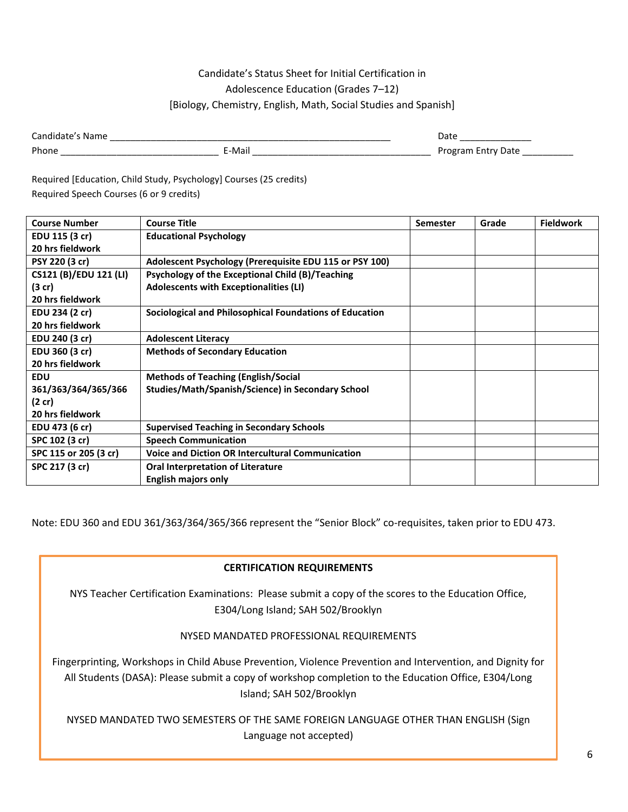#### Candidate's Status Sheet for Initial Certification in Adolescence Education (Grades 7–12) [Biology, Chemistry, English, Math, Social Studies and Spanish]

| -<br>_______      | ______<br>______<br>_____                          | $\cdot$ $\cdot$<br>.<br>____<br>__________<br>_____ |
|-------------------|----------------------------------------------------|-----------------------------------------------------|
| . Dh<br>_________ | ш<br>_____<br>______<br>_______<br>______<br>_____ | ____<br>_______                                     |

Required [Education, Child Study, Psychology] Courses (25 credits) Required Speech Courses (6 or 9 credits)

| <b>Course Number</b>   | <b>Course Title</b>                                     | <b>Semester</b> | Grade | <b>Fieldwork</b> |
|------------------------|---------------------------------------------------------|-----------------|-------|------------------|
| EDU 115 (3 cr)         | <b>Educational Psychology</b>                           |                 |       |                  |
| 20 hrs fieldwork       |                                                         |                 |       |                  |
| PSY 220 (3 cr)         | Adolescent Psychology (Prerequisite EDU 115 or PSY 100) |                 |       |                  |
| CS121 (B)/EDU 121 (LI) | Psychology of the Exceptional Child (B)/Teaching        |                 |       |                  |
| $(3$ cr)               | Adolescents with Exceptionalities (LI)                  |                 |       |                  |
| 20 hrs fieldwork       |                                                         |                 |       |                  |
| EDU 234 (2 cr)         | Sociological and Philosophical Foundations of Education |                 |       |                  |
| 20 hrs fieldwork       |                                                         |                 |       |                  |
| EDU 240 (3 cr)         | <b>Adolescent Literacy</b>                              |                 |       |                  |
| EDU 360 (3 cr)         | <b>Methods of Secondary Education</b>                   |                 |       |                  |
| 20 hrs fieldwork       |                                                         |                 |       |                  |
| <b>EDU</b>             | <b>Methods of Teaching (English/Social</b>              |                 |       |                  |
| 361/363/364/365/366    | Studies/Math/Spanish/Science) in Secondary School       |                 |       |                  |
| $(2 \text{ cr})$       |                                                         |                 |       |                  |
| 20 hrs fieldwork       |                                                         |                 |       |                  |
| EDU 473 (6 cr)         | <b>Supervised Teaching in Secondary Schools</b>         |                 |       |                  |
| SPC 102 (3 cr)         | <b>Speech Communication</b>                             |                 |       |                  |
| SPC 115 or 205 (3 cr)  | <b>Voice and Diction OR Intercultural Communication</b> |                 |       |                  |
| SPC 217 (3 cr)         | <b>Oral Interpretation of Literature</b>                |                 |       |                  |
|                        | <b>English majors only</b>                              |                 |       |                  |

Note: EDU 360 and EDU 361/363/364/365/366 represent the "Senior Block" co-requisites, taken prior to EDU 473.

#### **CERTIFICATION REQUIREMENTS**

NYS Teacher Certification Examinations: Please submit a copy of the scores to the Education Office, E304/Long Island; SAH 502/Brooklyn

NYSED MANDATED PROFESSIONAL REQUIREMENTS

Fingerprinting, Workshops in Child Abuse Prevention, Violence Prevention and Intervention, and Dignity for All Students (DASA): Please submit a copy of workshop completion to the Education Office, E304/Long Island; SAH 502/Brooklyn

NYSED MANDATED TWO SEMESTERS OF THE SAME FOREIGN LANGUAGE OTHER THAN ENGLISH (Sign Language not accepted)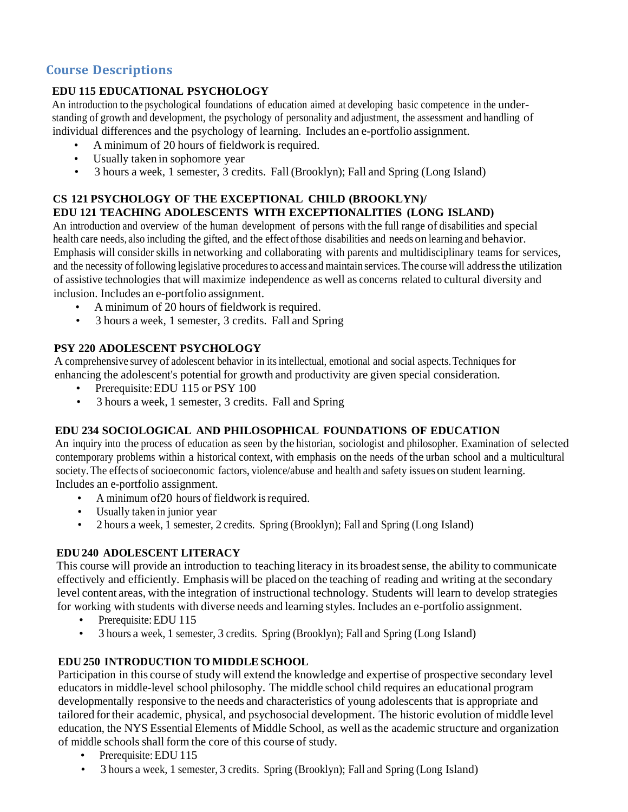# **Course Descriptions**

#### **EDU 115 EDUCATIONAL PSYCHOLOGY**

An introduction to the psychological foundations of education aimed at developing basic competence in the understanding of growth and development, the psychology of personality and adjustment, the assessment and handling of individual differences and the psychology of learning. Includes an e-portfolio assignment.

- A minimum of 20 hours of fieldwork is required.
- Usually taken in sophomore year
- 3 hours a week, 1 semester, 3 credits. Fall (Brooklyn); Fall and Spring (Long Island)

#### **CS 121 PSYCHOLOGY OF THE EXCEPTIONAL CHILD (BROOKLYN)/ EDU 121 TEACHING ADOLESCENTS WITH EXCEPTIONALITIES (LONG ISLAND)**

An introduction and overview of the human development of persons with the full range of disabilities and special health care needs, also including the gifted, and the effect ofthose disabilities and needs on learning and behavior. Emphasis will consider skills in networking and collaborating with parents and multidisciplinary teams for services, and the necessity offollowing legislative proceduresto access and maintain services.The course will addressthe utilization of assistive technologies that will maximize independence as well as concerns related to cultural diversity and inclusion. Includes an e-portfolio assignment.

- A minimum of 20 hours of fieldwork is required.
- 3 hours a week, 1 semester, 3 credits. Fall and Spring

#### **PSY 220 ADOLESCENT PSYCHOLOGY**

A comprehensive survey of adolescent behavior in itsintellectual, emotional and social aspects.Techniques for enhancing the adolescent's potential for growth and productivity are given special consideration.

- Prerequisite: EDU 115 or PSY 100
- 3 hours a week, 1 semester, 3 credits. Fall and Spring

#### **EDU 234 SOCIOLOGICAL AND PHILOSOPHICAL FOUNDATIONS OF EDUCATION**

An inquiry into the process of education as seen by the historian, sociologist and philosopher. Examination of selected contemporary problems within a historical context, with emphasis on the needs of the urban school and a multicultural society.The effects of socioeconomic factors, violence/abuse and health and safety issues on student learning. Includes an e-portfolio assignment.

- A minimum of 20 hours of fieldwork is required.
- Usually taken in junior year
- 2 hours a week, 1 semester, 2 credits. Spring (Brooklyn); Fall and Spring (Long Island)

#### **EDU 240 ADOLESCENT LITERACY**

This course will provide an introduction to teaching literacy in its broadestsense, the ability to communicate effectively and efficiently. Emphasis will be placed on the teaching of reading and writing at the secondary level content areas, with the integration of instructional technology. Students will learn to develop strategies for working with students with diverse needs and learning styles. Includes an e-portfolio assignment.

- Prerequisite: EDU 115
- 3 hours a week, 1 semester, 3 credits. Spring (Brooklyn); Fall and Spring (Long Island)

#### **EDU 250 INTRODUCTION TO MIDDLESCHOOL**

Participation in this course of study will extend the knowledge and expertise of prospective secondary level educators in middle-level school philosophy. The middle school child requires an educational program developmentally responsive to the needs and characteristics of young adolescents that is appropriate and tailored fortheir academic, physical, and psychosocial development. The historic evolution of middle level education, the NYS Essential Elements of Middle School, as well asthe academic structure and organization of middle schools shall form the core of this course of study.

- Prerequisite: EDU 115
- 3 hours a week, 1 semester, 3 credits. Spring (Brooklyn); Fall and Spring (Long Island)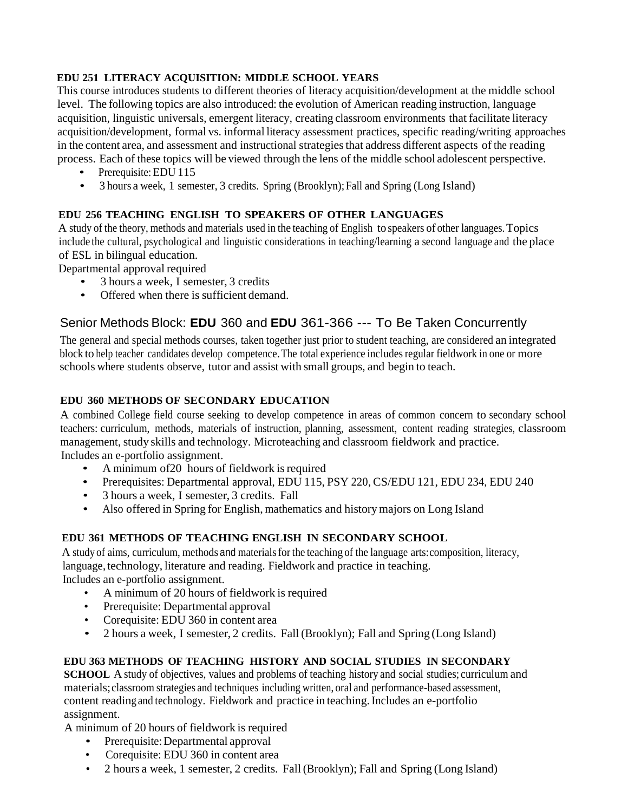#### **EDU 251 LITERACY ACQUISITION: MIDDLE SCHOOL YEARS**

This course introduces students to different theories of literacy acquisition/development at the middle school level. The following topics are also introduced: the evolution of American reading instruction, language acquisition, linguistic universals, emergent literacy, creating classroom environments that facilitate literacy acquisition/development, formal vs. informal literacy assessment practices, specific reading/writing approaches in the content area, and assessment and instructional strategiesthat address different aspects of the reading process. Each of these topics will be viewed through the lens of the middle school adolescent perspective.

- Prerequisite: EDU 115
- 3 hours a week, 1 semester, 3 credits. Spring (Brooklyn); Fall and Spring (Long Island)

#### **EDU 256 TEACHING ENGLISH TO SPEAKERS OF OTHER LANGUAGES**

A study of the theory, methods and materials used in the teaching of English to speakers of other languages.Topics include the cultural, psychological and linguistic considerations in teaching/learning a second language and the place of ESL in bilingual education.

Departmental approval required

- 3 hours a week, I semester, 3 credits
- Offered when there is sufficient demand.

# Senior Methods Block: **EDU** 360 and **EDU** 361-366 --- To Be Taken Concurrently

The general and special methods courses, taken together just prior to student teaching, are considered an integrated block to help teacher candidates develop competence. The total experience includes regular fieldwork in one or more schools where students observe, tutor and assist with small groups, and begin to teach.

#### **EDU 360 METHODS OF SECONDARY EDUCATION**

A combined College field course seeking to develop competence in areas of common concern to secondary school teachers: curriculum, methods, materials of instruction, planning, assessment, content reading strategies, classroom management, study skills and technology. Microteaching and classroom fieldwork and practice. Includes an e-portfolio assignment.

- A minimum of 20 hours of fieldwork is required
- Prerequisites: Departmental approval, EDU 115, PSY 220, CS/EDU 121, EDU 234, EDU 240
- 3 hours a week, I semester, 3 credits. Fall
- Also offered in Spring for English, mathematics and historymajors on Long Island

#### **EDU 361 METHODS OF TEACHING ENGLISH IN SECONDARY SCHOOL**

A study of aims, curriculum, methods and materialsfor the teaching of the language arts:composition, literacy, language, technology, literature and reading. Fieldwork and practice in teaching. Includes an e-portfolio assignment.

- A minimum of 20 hours of fieldwork is required
- Prerequisite: Departmental approval
- Corequisite: EDU 360 in content area
- 2 hours a week, I semester, 2 credits. Fall (Brooklyn); Fall and Spring (Long Island)

#### **EDU 363 METHODS OF TEACHING HISTORY AND SOCIAL STUDIES IN SECONDARY**

**SCHOOL** A study of objectives, values and problems of teaching history and social studies; curriculum and materials;classroom strategies and techniques including written, oral and performance-based assessment, content reading and technology. Fieldwork and practice in teaching.Includes an e-portfolio assignment.

A minimum of 20 hours of fieldwork is required

- Prerequisite: Departmental approval
- Corequisite: EDU 360 in content area
- 2 hours a week, 1 semester, 2 credits. Fall (Brooklyn); Fall and Spring (Long Island)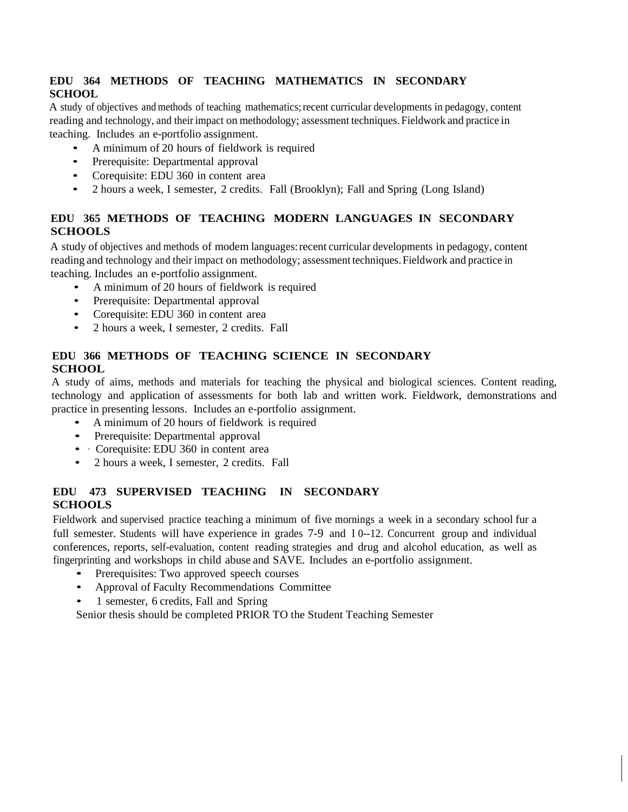#### **EDU 364 METHODS OF TEACHING MATHEMATICS IN SECONDARY SCHOOL**

A study of objectives and methods of teaching mathematics;recent curricular developments in pedagogy, content reading and technology, and their impact on methodology; assessment techniques. Fieldwork and practice in teaching. Includes an e-portfolio assignment.

- A minimum of 20 hours of fieldwork is required
- Prerequisite: Departmental approval
- Corequisite: EDU 360 in content area
- 2 hours a week, I semester, 2 credits. Fall (Brooklyn); Fall and Spring (Long Island)

#### **EDU 365 METHODS OF TEACHING MODERN LANGUAGES IN SECONDARY SCHOOLS**

A study of objectives and methods of modem languages:recent curricular developments in pedagogy, content reading and technology and their impact on methodology; assessment techniques.Fieldwork and practice in teaching. Includes an e-portfolio assignment.

- A minimum of 20 hours of fieldwork is required
- Prerequisite: Departmental approval
- Corequisite: EDU 360 in content area
- 2 hours a week, I semester, 2 credits. Fall

#### **EDU 366 METHODS OF TEACHING SCIENCE IN SECONDARY SCHOOL**

A study of aims, methods and materials for teaching the physical and biological sciences. Content reading, technology and application of assessments for both lab and written work. Fieldwork, demonstrations and practice in presenting lessons. Includes an e-portfolio assignment.

- A minimum of <sup>20</sup> hours of fieldwork is required
- Prerequisite: Departmental approval
- Corequisite: EDU 360 in content area
- 2 hours a week, I semester, 2 credits. Fall

#### **EDU 473 SUPERVISED TEACHING IN SECONDARY SCHOOLS**

Fieldwork and supervised practice teaching a minimum of five mornings a week in a secondary school fur a full semester. Students will have experience in grades 7-9 and I 0--12. Concurrent group and individual conferences, reports, self-evaluation, content reading strategies and drug and alcohol education, as well as fingerprinting and workshops in child abuse and SAVE. Includes an e-portfolio assignment.

- Prerequisites: Two approved speech courses
- Approval of Faculty Recommendations Committee
- 1 semester, 6 credits, Fall and Spring

Senior thesis should be completed PRIOR TO the Student Teaching Semester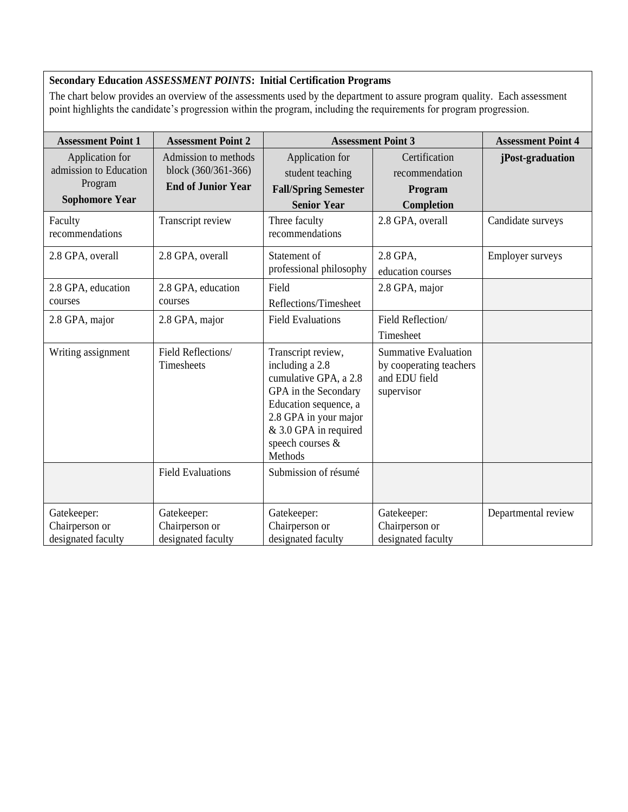#### **Secondary Education** *ASSESSMENT POINTS***: Initial Certification Programs**

The chart below provides an overview of the assessments used by the department to assure program quality. Each assessment point highlights the candidate's progression within the program, including the requirements for program progression.

| <b>Assessment Point 1</b>                                                     | <b>Assessment Point 2</b>                                                |                                                                                                                                                                                                  | <b>Assessment Point 3</b>                                                             | <b>Assessment Point 4</b> |
|-------------------------------------------------------------------------------|--------------------------------------------------------------------------|--------------------------------------------------------------------------------------------------------------------------------------------------------------------------------------------------|---------------------------------------------------------------------------------------|---------------------------|
| Application for<br>admission to Education<br>Program<br><b>Sophomore Year</b> | Admission to methods<br>block (360/361-366)<br><b>End of Junior Year</b> | Application for<br>student teaching<br><b>Fall/Spring Semester</b><br><b>Senior Year</b>                                                                                                         | Certification<br>recommendation<br>Program<br>Completion                              | jPost-graduation          |
| Faculty<br>recommendations                                                    | Transcript review                                                        | Three faculty<br>recommendations                                                                                                                                                                 | 2.8 GPA, overall                                                                      | Candidate surveys         |
| 2.8 GPA, overall                                                              | 2.8 GPA, overall                                                         | Statement of<br>professional philosophy                                                                                                                                                          | 2.8 GPA,<br>education courses                                                         | <b>Employer surveys</b>   |
| 2.8 GPA, education<br>courses                                                 | 2.8 GPA, education<br>courses                                            | Field<br>Reflections/Timesheet                                                                                                                                                                   | 2.8 GPA, major                                                                        |                           |
| 2.8 GPA, major                                                                | 2.8 GPA, major                                                           | <b>Field Evaluations</b>                                                                                                                                                                         | Field Reflection/<br>Timesheet                                                        |                           |
| Writing assignment                                                            | Field Reflections/<br>Timesheets                                         | Transcript review,<br>including a 2.8<br>cumulative GPA, a 2.8<br>GPA in the Secondary<br>Education sequence, a<br>2.8 GPA in your major<br>& 3.0 GPA in required<br>speech courses &<br>Methods | <b>Summative Evaluation</b><br>by cooperating teachers<br>and EDU field<br>supervisor |                           |
|                                                                               | <b>Field Evaluations</b>                                                 | Submission of résumé                                                                                                                                                                             |                                                                                       |                           |
| Gatekeeper:<br>Chairperson or<br>designated faculty                           | Gatekeeper:<br>Chairperson or<br>designated faculty                      | Gatekeeper:<br>Chairperson or<br>designated faculty                                                                                                                                              | Gatekeeper:<br>Chairperson or<br>designated faculty                                   | Departmental review       |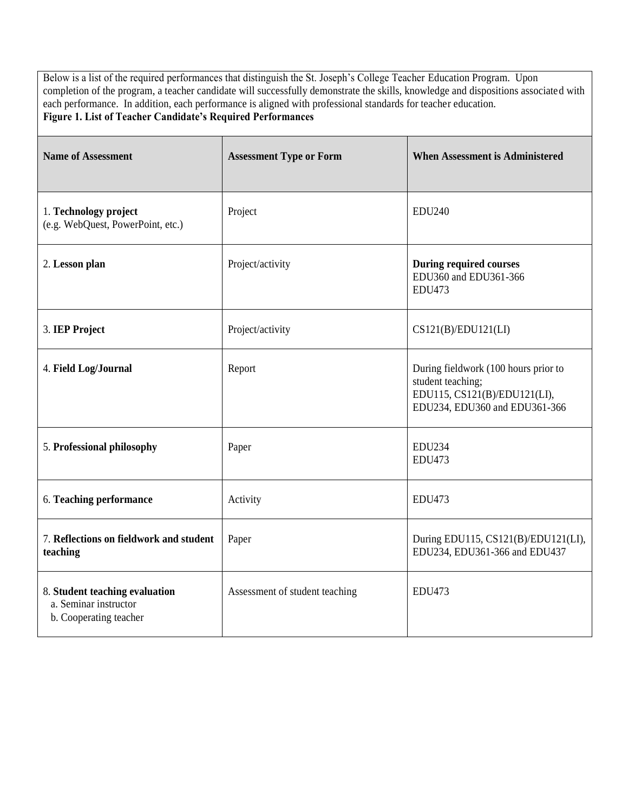Below is a list of the required performances that distinguish the St. Joseph's College Teacher Education Program. Upon completion of the program, a teacher candidate will successfully demonstrate the skills, knowledge and dispositions associated with each performance. In addition, each performance is aligned with professional standards for teacher education. **Figure 1. List of Teacher Candidate's Required Performances**

| <b>Name of Assessment</b>                                                         | <b>Assessment Type or Form</b> | <b>When Assessment is Administered</b>                                                                                     |
|-----------------------------------------------------------------------------------|--------------------------------|----------------------------------------------------------------------------------------------------------------------------|
| 1. Technology project<br>(e.g. WebQuest, PowerPoint, etc.)                        | Project                        | <b>EDU240</b>                                                                                                              |
| 2. Lesson plan                                                                    | Project/activity               | <b>During required courses</b><br>EDU360 and EDU361-366<br><b>EDU473</b>                                                   |
| 3. IEP Project                                                                    | Project/activity               | CS121(B)/EDU121(LI)                                                                                                        |
| 4. Field Log/Journal                                                              | Report                         | During fieldwork (100 hours prior to<br>student teaching;<br>EDU115, CS121(B)/EDU121(LI),<br>EDU234, EDU360 and EDU361-366 |
| 5. Professional philosophy                                                        | Paper                          | <b>EDU234</b><br><b>EDU473</b>                                                                                             |
| 6. Teaching performance                                                           | Activity                       | <b>EDU473</b>                                                                                                              |
| 7. Reflections on fieldwork and student<br>teaching                               | Paper                          | During EDU115, CS121(B)/EDU121(LI),<br>EDU234, EDU361-366 and EDU437                                                       |
| 8. Student teaching evaluation<br>a. Seminar instructor<br>b. Cooperating teacher | Assessment of student teaching | <b>EDU473</b>                                                                                                              |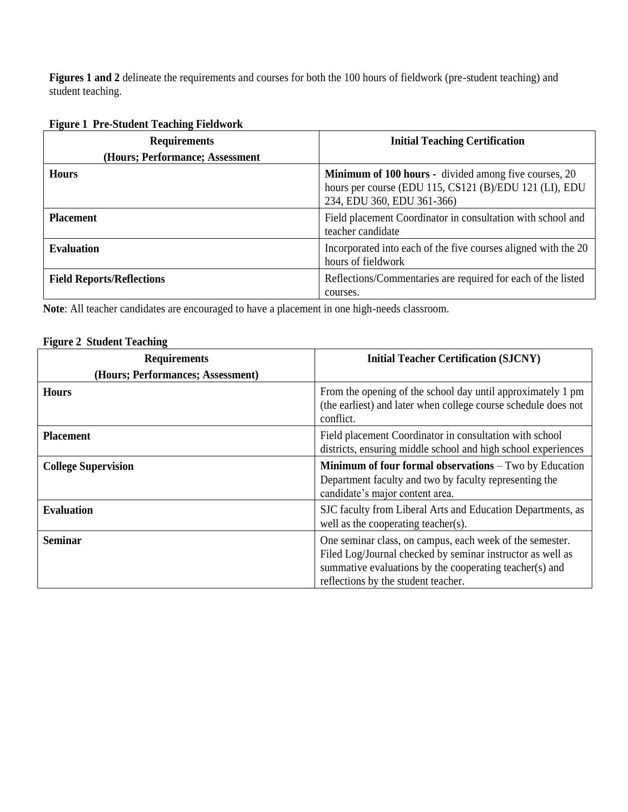**Figures 1 and 2** delineate the requirements and courses for both the 100 hours of fieldwork (pre-student teaching) and student teaching.

### **Figure 1 Pre-Student Teaching Fieldwork**

| <b>Requirements</b>              | <b>Initial Teaching Certification</b>                                                                                                         |
|----------------------------------|-----------------------------------------------------------------------------------------------------------------------------------------------|
| (Hours; Performance; Assessment  |                                                                                                                                               |
| <b>Hours</b>                     | Minimum of 100 hours - divided among five courses, 20<br>hours per course (EDU 115, CS121 (B)/EDU 121 (LI), EDU<br>234, EDU 360, EDU 361-366) |
| <b>Placement</b>                 | Field placement Coordinator in consultation with school and<br>teacher candidate                                                              |
| <b>Evaluation</b>                | Incorporated into each of the five courses aligned with the 20<br>hours of fieldwork                                                          |
| <b>Field Reports/Reflections</b> | Reflections/Commentaries are required for each of the listed<br>courses.                                                                      |

**Note**: All teacher candidates are encouraged to have a placement in one high-needs classroom.

# **Figure 2 Student Teaching**

| <b>Requirements</b>               | <b>Initial Teacher Certification (SJCNY)</b>                                                                                                                                                                             |
|-----------------------------------|--------------------------------------------------------------------------------------------------------------------------------------------------------------------------------------------------------------------------|
| (Hours; Performances; Assessment) |                                                                                                                                                                                                                          |
| <b>Hours</b>                      | From the opening of the school day until approximately 1 pm<br>(the earliest) and later when college course schedule does not<br>conflict.                                                                               |
| <b>Placement</b>                  | Field placement Coordinator in consultation with school<br>districts, ensuring middle school and high school experiences                                                                                                 |
| <b>College Supervision</b>        | <b>Minimum of four formal observations – Two by Education</b><br>Department faculty and two by faculty representing the<br>candidate's major content area.                                                               |
| <b>Evaluation</b>                 | SJC faculty from Liberal Arts and Education Departments, as<br>well as the cooperating teacher(s).                                                                                                                       |
| <b>Seminar</b>                    | One seminar class, on campus, each week of the semester.<br>Filed Log/Journal checked by seminar instructor as well as<br>summative evaluations by the cooperating teacher(s) and<br>reflections by the student teacher. |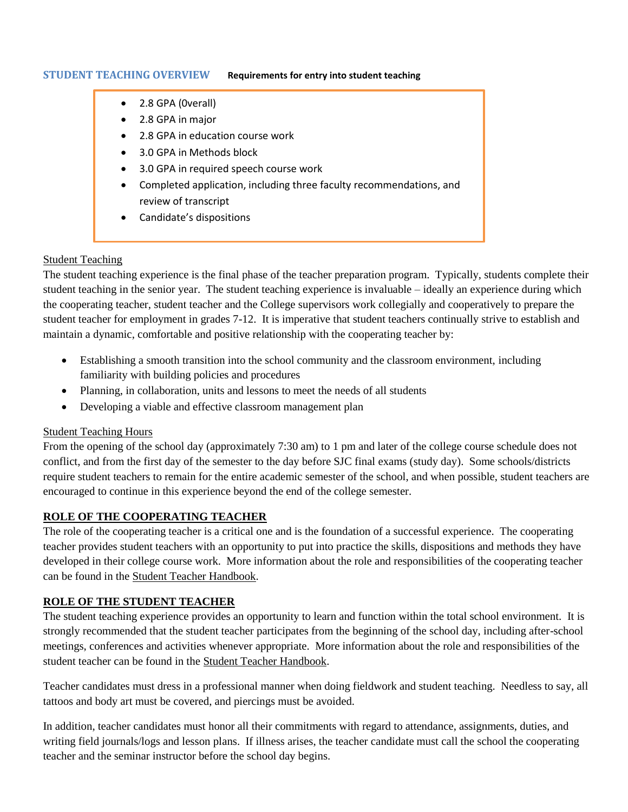#### **STUDENT TEACHING OVERVIEW Requirements for entry into student teaching**

- 2.8 GPA (0verall)
- 2.8 GPA in major
- 2.8 GPA in education course work
- 3.0 GPA in Methods block
- 3.0 GPA in required speech course work
- Completed application, including three faculty recommendations, and review of transcript
- Candidate's dispositions

#### Student Teaching

The student teaching experience is the final phase of the teacher preparation program. Typically, students complete their student teaching in the senior year. The student teaching experience is invaluable – ideally an experience during which the cooperating teacher, student teacher and the College supervisors work collegially and cooperatively to prepare the student teacher for employment in grades 7-12. It is imperative that student teachers continually strive to establish and maintain a dynamic, comfortable and positive relationship with the cooperating teacher by:

- Establishing a smooth transition into the school community and the classroom environment, including familiarity with building policies and procedures
- Planning, in collaboration, units and lessons to meet the needs of all students
- Developing a viable and effective classroom management plan

#### Student Teaching Hours

From the opening of the school day (approximately 7:30 am) to 1 pm and later of the college course schedule does not conflict, and from the first day of the semester to the day before SJC final exams (study day). Some schools/districts require student teachers to remain for the entire academic semester of the school, and when possible, student teachers are encouraged to continue in this experience beyond the end of the college semester.

#### **ROLE OF THE COOPERATING TEACHER**

The role of the cooperating teacher is a critical one and is the foundation of a successful experience. The cooperating teacher provides student teachers with an opportunity to put into practice the skills, dispositions and methods they have developed in their college course work. More information about the role and responsibilities of the cooperating teacher can be found in the Student Teacher Handbook.

#### **ROLE OF THE STUDENT TEACHER**

The student teaching experience provides an opportunity to learn and function within the total school environment. It is strongly recommended that the student teacher participates from the beginning of the school day, including after-school meetings, conferences and activities whenever appropriate. More information about the role and responsibilities of the student teacher can be found in the Student Teacher Handbook.

Teacher candidates must dress in a professional manner when doing fieldwork and student teaching. Needless to say, all tattoos and body art must be covered, and piercings must be avoided.

In addition, teacher candidates must honor all their commitments with regard to attendance, assignments, duties, and writing field journals/logs and lesson plans. If illness arises, the teacher candidate must call the school the cooperating teacher and the seminar instructor before the school day begins.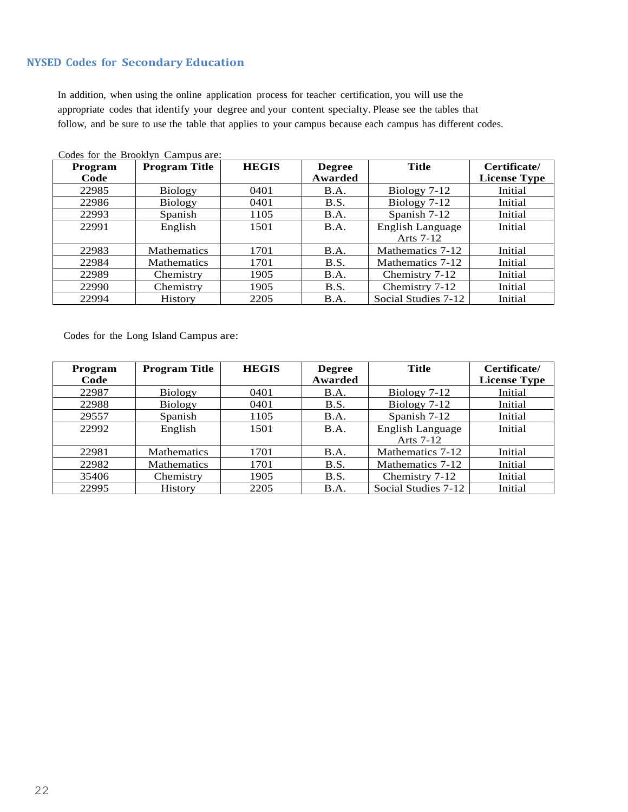#### **NYSED Codes for Secondary Education**

In addition, when using the online application process for teacher certification, you will use the appropriate codes that identify your degree and your content specialty. Please see the tables that follow, and be sure to use the table that applies to your campus because each campus has different codes.

| Program<br>Code | <b>Program Title</b> | <b>HEGIS</b> | <b>Degree</b><br>Awarded | <b>Title</b>            | Certificate/<br><b>License Type</b> |
|-----------------|----------------------|--------------|--------------------------|-------------------------|-------------------------------------|
|                 |                      |              |                          |                         |                                     |
| 22985           | <b>Biology</b>       | 0401         | <b>B.A.</b>              | $Biology 7-12$          | Initial                             |
| 22986           | <b>Biology</b>       | 0401         | <b>B.S.</b>              | Biology $7-12$          | Initial                             |
| 22993           | Spanish              | 1105         | B.A.                     | Spanish 7-12            | Initial                             |
| 22991           | English              | 1501         | <b>B.A.</b>              | <b>English Language</b> | Initial                             |
|                 |                      |              |                          | Arts 7-12               |                                     |
| 22983           | <b>Mathematics</b>   | 1701         | B.A.                     | Mathematics 7-12        | Initial                             |
| 22984           | <b>Mathematics</b>   | 1701         | B.S.                     | Mathematics 7-12        | Initial                             |
| 22989           | Chemistry            | 1905         | B.A.                     | Chemistry 7-12          | Initial                             |
| 22990           | Chemistry            | 1905         | <b>B.S.</b>              | Chemistry 7-12          | Initial                             |
| 22994           | <b>History</b>       | 2205         | B.A.                     | Social Studies 7-12     | Initial                             |

Codes for the Brooklyn Campus are:

Codes for the Long Island Campus are:

| Program | <b>Program Title</b> | <b>HEGIS</b> | <b>Degree</b> | <b>Title</b>        | Certificate/        |
|---------|----------------------|--------------|---------------|---------------------|---------------------|
| Code    |                      |              | Awarded       |                     | <b>License Type</b> |
| 22987   | <b>Biology</b>       | 0401         | <b>B.A.</b>   | Biology 7-12        | Initial             |
| 22988   | <b>Biology</b>       | 0401         | <b>B.S.</b>   | Biology 7-12        | Initial             |
| 29557   | Spanish              | 1105         | B.A.          | Spanish 7-12        | Initial             |
| 22992   | English              | 1501         | <b>B.A.</b>   | English Language    | Initial             |
|         |                      |              |               | Arts 7-12           |                     |
| 22981   | <b>Mathematics</b>   | 1701         | B.A.          | Mathematics 7-12    | Initial             |
| 22982   | <b>Mathematics</b>   | 1701         | B.S.          | Mathematics 7-12    | Initial             |
| 35406   | Chemistry            | 1905         | B.S.          | Chemistry 7-12      | Initial             |
| 22995   | <b>History</b>       | 2205         | B.A.          | Social Studies 7-12 | Initial             |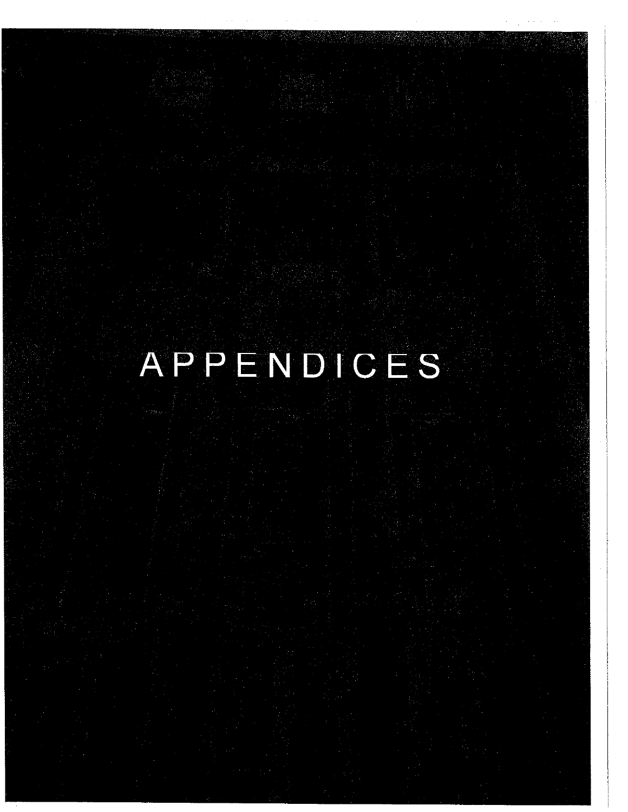# APPENDICES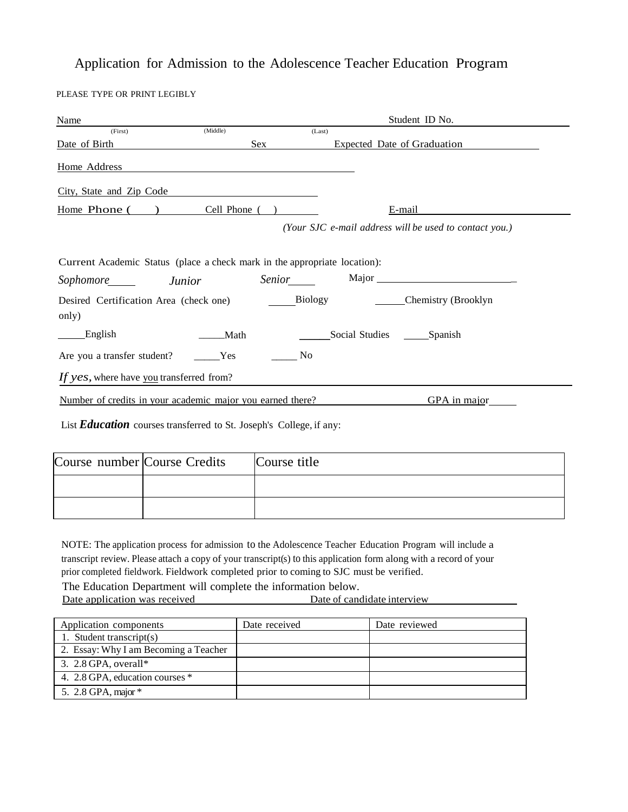# Application for Admission to the Adolescence Teacher Education Program

PLEASE TYPE OR PRINT LEGIBLY

| Name                                                                      |          |                  | Student ID No.                                         |
|---------------------------------------------------------------------------|----------|------------------|--------------------------------------------------------|
| (First)                                                                   | (Middle) | (Last)           |                                                        |
| Date of Birth                                                             |          | Sex              | <b>Expected Date of Graduation</b>                     |
| Home Address                                                              |          |                  |                                                        |
| City, State and Zip Code                                                  |          |                  |                                                        |
| Home Phone ()                                                             |          | Cell Phone $($ ) | E-mail                                                 |
|                                                                           |          |                  | (Your SJC e-mail address will be used to contact you.) |
|                                                                           |          |                  |                                                        |
| Current Academic Status (place a check mark in the appropriate location): |          |                  |                                                        |
| Sophomore Junior                                                          |          |                  |                                                        |
| Desired Certification Area (check one)                                    |          |                  | Biology ______________Chemistry (Brooklyn              |
| only)                                                                     |          |                  |                                                        |
| English                                                                   | Math     |                  | Social Studies ________Spanish                         |
| Are you a transfer student?                                               | Yes      | No.              |                                                        |
| If yes, where have you transferred from?                                  |          |                  |                                                        |
| Number of credits in your academic major you earned there?                |          |                  | GPA in major                                           |
| List Education courses transferred to St. Joseph's College, if any:       |          |                  |                                                        |
|                                                                           |          |                  |                                                        |
| Course number Course Credits                                              |          | Course title     |                                                        |
|                                                                           |          |                  |                                                        |

NOTE: The application process for admission to the Adolescence Teacher Education Program will include a transcript review. Please attach a copy of your transcript(s) to this application form along with a record of your prior completed fieldwork. Fieldwork completed prior to coming to SJC must be verified.

The Education Department will complete the information below.<br>Date application was received<br>Date of candidate interview Date application was received

| Application components                | Date received | Date reviewed |
|---------------------------------------|---------------|---------------|
| 1. Student transcript $(s)$           |               |               |
| 2. Essay: Why I am Becoming a Teacher |               |               |
| 3. $2.8$ GPA, overall*                |               |               |
| 4. 2.8 GPA, education courses *       |               |               |
| 5. 2.8 GPA, major $*$                 |               |               |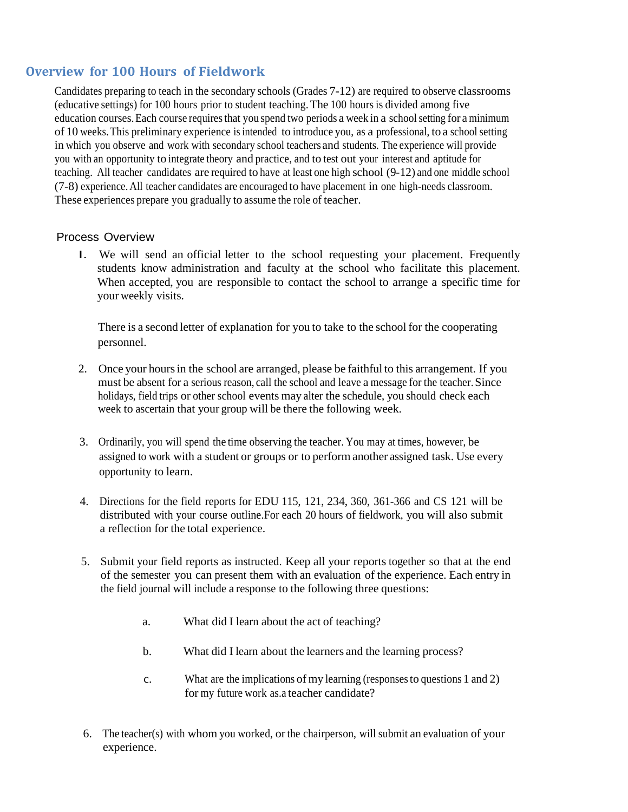### **Overview for 100 Hours of Fieldwork**

Candidates preparing to teach in the secondary schools (Grades 7-12) are required to observe classrooms (educative settings) for 100 hours prior to student teaching.The 100 hours is divided among five education courses. Each course requires that you spend two periods a week in a school setting for a minimum of 10 weeks.This preliminary experience isintended to introduce you, as a professional, to a school setting in which you observe and work with secondary school teachers and students. The experience will provide you with an opportunity to integrate theory and practice, and to test out your interest and aptitude for teaching. All teacher candidates are required to have at least one high school (9-12) and one middle school (7-8) experience. All teacher candidates are encouraged to have placement in one high-needs classroom. These experiences prepare you gradually to assume the role of teacher.

#### Process Overview

I. We will send an official letter to the school requesting your placement. Frequently students know administration and faculty at the school who facilitate this placement. When accepted, you are responsible to contact the school to arrange a specific time for your weekly visits.

There is a second letter of explanation for you to take to the school for the cooperating personnel.

- 2. Once your hoursin the school are arranged, please be faithful to this arrangement. If you must be absent for a serious reason, call the school and leave a message for the teacher.Since holidays, field trips or other school events may alter the schedule, you should check each week to ascertain that your group will be there the following week.
- 3. Ordinarily, you will spend the time observing the teacher. You may at times, however, be assigned to work with a student or groups or to perform another assigned task. Use every opportunity to learn.
- 4. Directions for the field reports for EDU 115, 121, 234, 360, 361-366 and CS 121 will be distributed with your course outline.For each 20 hours of fieldwork, you will also submit a reflection for the total experience.
- 5. Submit your field reports as instructed. Keep all your reports together so that at the end of the semester you can present them with an evaluation of the experience. Each entry in the field journal will include a response to the following three questions:
	- a. What did I learn about the act of teaching?
	- b. What did I learn about the learners and the learning process?
	- c. What are the implications of my learning (responsesto questions 1 and 2) for my future work as.a teacher candidate?
- 6. The teacher(s) with whom you worked, orthe chairperson, will submit an evaluation of your experience.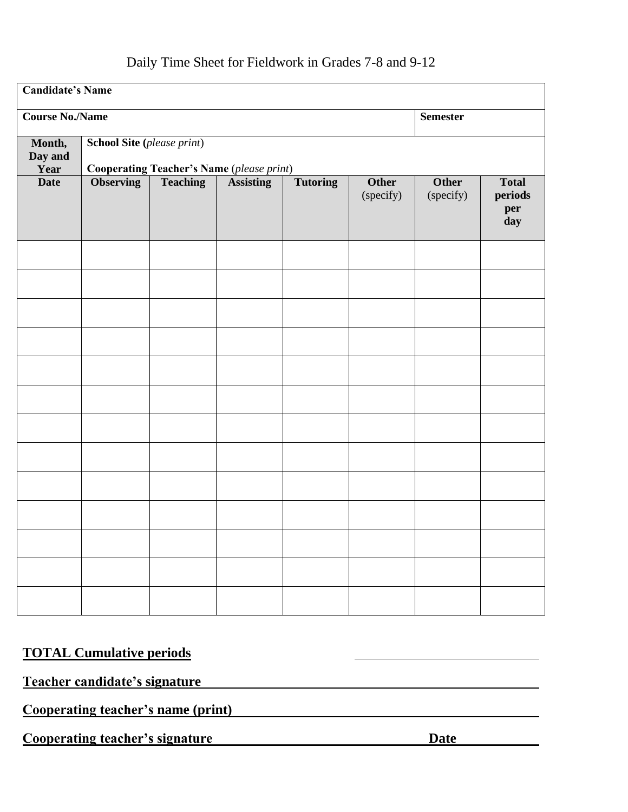# Daily Time Sheet for Fieldwork in Grades 7-8 and 9-12

| <b>Candidate's Name</b>   |                                                                                       |                 |                  |                 |                           |                           |                                       |  |
|---------------------------|---------------------------------------------------------------------------------------|-----------------|------------------|-----------------|---------------------------|---------------------------|---------------------------------------|--|
| <b>Course No./Name</b>    |                                                                                       |                 |                  |                 |                           |                           | <b>Semester</b>                       |  |
| Month,<br>Day and<br>Year | <b>School Site (please print)</b><br><b>Cooperating Teacher's Name (please print)</b> |                 |                  |                 |                           |                           |                                       |  |
| <b>Date</b>               | <b>Observing</b>                                                                      | <b>Teaching</b> | <b>Assisting</b> | <b>Tutoring</b> | <b>Other</b><br>(specify) | <b>Other</b><br>(specify) | <b>Total</b><br>periods<br>per<br>day |  |
|                           |                                                                                       |                 |                  |                 |                           |                           |                                       |  |
|                           |                                                                                       |                 |                  |                 |                           |                           |                                       |  |
|                           |                                                                                       |                 |                  |                 |                           |                           |                                       |  |
|                           |                                                                                       |                 |                  |                 |                           |                           |                                       |  |
|                           |                                                                                       |                 |                  |                 |                           |                           |                                       |  |
|                           |                                                                                       |                 |                  |                 |                           |                           |                                       |  |
|                           |                                                                                       |                 |                  |                 |                           |                           |                                       |  |
|                           |                                                                                       |                 |                  |                 |                           |                           |                                       |  |
|                           |                                                                                       |                 |                  |                 |                           |                           |                                       |  |
|                           |                                                                                       |                 |                  |                 |                           |                           |                                       |  |
|                           |                                                                                       |                 |                  |                 |                           |                           |                                       |  |
|                           |                                                                                       |                 |                  |                 |                           |                           |                                       |  |
|                           |                                                                                       |                 |                  |                 |                           |                           |                                       |  |

# **TOTAL Cumulative periods**

# **Teacher candidate's signature**

**Cooperating teacher's name (print)** 

**Cooperating teacher's signature**  Date **Date**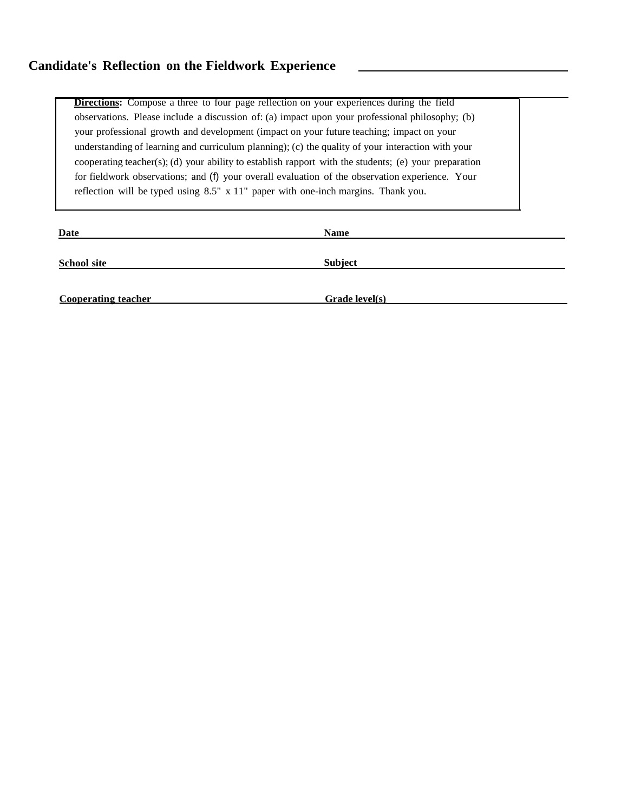**Directions:** Compose a three to four page reflection on your experiences during the field observations. Please include a discussion of: (a) impact upon your professional philosophy; (b) your professional growth and development (impact on your future teaching; impact on your understanding of learning and curriculum planning); (c) the quality of your interaction with your cooperating teacher(s); (d) your ability to establish rapport with the students; (e) your preparation for fieldwork observations; and (f) your overall evaluation of the observation experience. Your reflection will be typed using 8.5" x 11" paper with one-inch margins. Thank you.

| Date                       | <b>Name</b>    |
|----------------------------|----------------|
| <b>School site</b>         | <b>Subject</b> |
|                            |                |
| <b>Cooperating teacher</b> | Grade level(s) |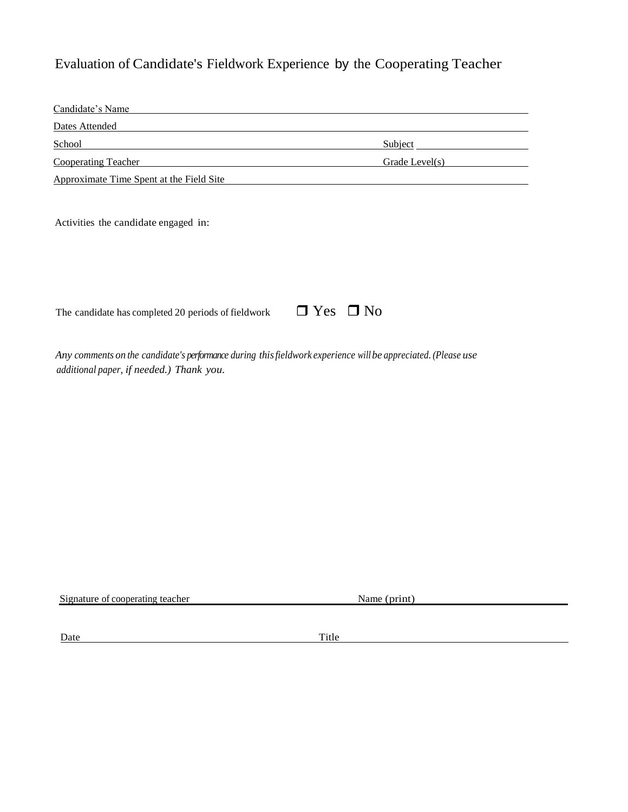# Evaluation of Candidate's Fieldwork Experience by the Cooperating Teacher

| Candidate's Name                                                                                                                                          |                |                |  |
|-----------------------------------------------------------------------------------------------------------------------------------------------------------|----------------|----------------|--|
| Dates Attended                                                                                                                                            |                |                |  |
| School                                                                                                                                                    | <b>Subject</b> |                |  |
| <b>Cooperating Teacher</b>                                                                                                                                |                | Grade Level(s) |  |
| Approximate Time Spent at the Field Site                                                                                                                  |                |                |  |
| Activities the candidate engaged in:                                                                                                                      |                |                |  |
| The candidate has completed 20 periods of fieldwork                                                                                                       | $\Box$ Yes     | $\Box$ No      |  |
| Any comments on the candidate's performance during this fieldwork experience will be appreciated. (Please use<br>additional paper, if needed.) Thank you. |                |                |  |
|                                                                                                                                                           |                |                |  |
|                                                                                                                                                           |                |                |  |
|                                                                                                                                                           |                |                |  |
|                                                                                                                                                           |                |                |  |
|                                                                                                                                                           |                |                |  |

Signature of cooperating teacher Name (print)

Date Title Title